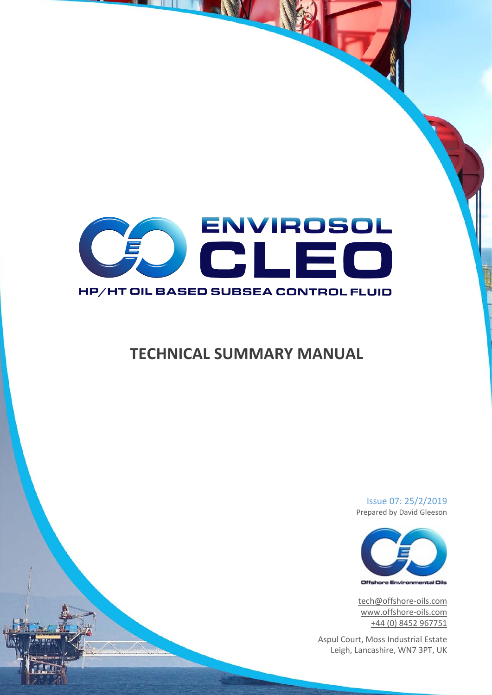

# **TECHNICAL SUMMARY MANUAL**

Issue 07: 25/2/2019 Prepared by David Gleeson



[tech@offshore-oils.com](mailto:tech@offshore-oils.com) [www.offshore-oils.com](http://www.offshore-oils.com/) +44 (0) 8452 967751

Aspul Court, Moss Industrial Estate Leigh, Lancashire, WN7 3PT, UK

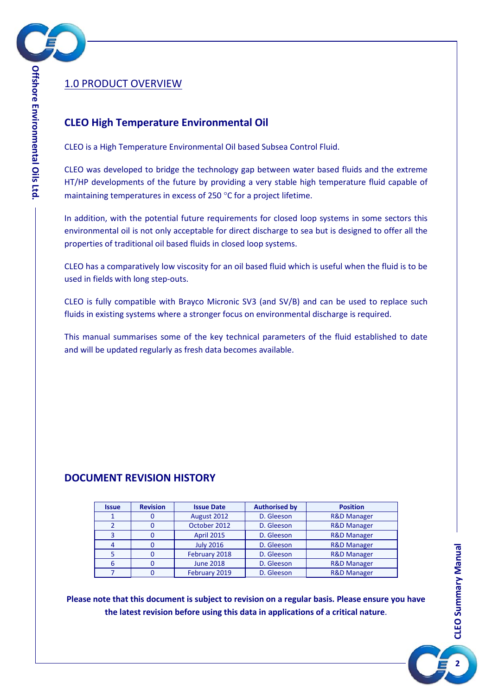

# <span id="page-1-0"></span>1.0 PRODUCT OVERVIEW

# **CLEO High Temperature Environmental Oil**

CLEO is a High Temperature Environmental Oil based Subsea Control Fluid.

CLEO was developed to bridge the technology gap between water based fluids and the extreme HT/HP developments of the future by providing a very stable high temperature fluid capable of maintaining temperatures in excess of 250 °C for a project lifetime.

In addition, with the potential future requirements for closed loop systems in some sectors this environmental oil is not only acceptable for direct discharge to sea but is designed to offer all the properties of traditional oil based fluids in closed loop systems.

CLEO has a comparatively low viscosity for an oil based fluid which is useful when the fluid is to be used in fields with long step-outs.

CLEO is fully compatible with Brayco Micronic SV3 (and SV/B) and can be used to replace such fluids in existing systems where a stronger focus on environmental discharge is required.

This manual summarises some of the key technical parameters of the fluid established to date and will be updated regularly as fresh data becomes available.

# **DOCUMENT REVISION HISTORY**

| <b>Issue</b> | <b>Revision</b> | <b>Issue Date</b> | <b>Authorised by</b> | <b>Position</b>        |
|--------------|-----------------|-------------------|----------------------|------------------------|
|              |                 | August 2012       | D. Gleeson           |                        |
|              |                 | October 2012      | D. Gleeson           | <b>R&amp;D Manager</b> |
|              |                 | <b>April 2015</b> | D. Gleeson           | <b>R&amp;D Manager</b> |
|              |                 | <b>July 2016</b>  | D. Gleeson           | <b>R&amp;D Manager</b> |
|              |                 | February 2018     | D. Gleeson           | <b>R&amp;D Manager</b> |
| 6            |                 | <b>June 2018</b>  | D. Gleeson           | <b>R&amp;D Manager</b> |
|              |                 | February 2019     | D. Gleeson           | <b>R&amp;D Manager</b> |

**Please note that this document is subject to revision on a regular basis. Please ensure you have the latest revision before using this data in applications of a critical nature**.

**2**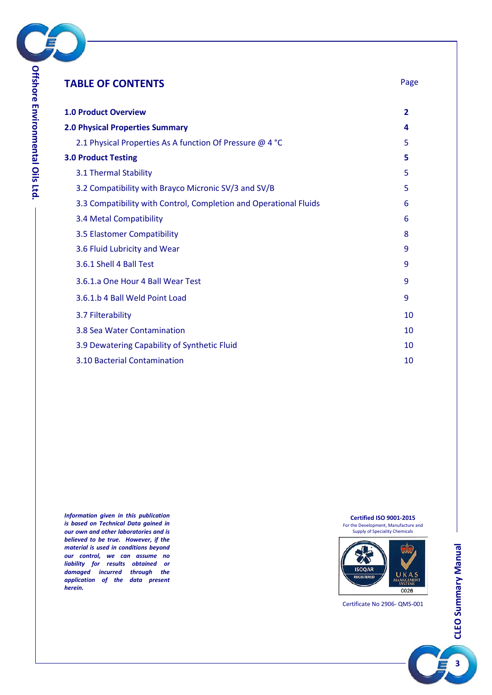

| <b>TABLE OF CONTENTS</b>                                          | Page         |
|-------------------------------------------------------------------|--------------|
| <b>1.0 Product Overview</b>                                       | $\mathbf{2}$ |
| <b>2.0 Physical Properties Summary</b>                            | 4            |
| 2.1 Physical Properties As A function Of Pressure @ 4 °C          | 5            |
| <b>3.0 Product Testing</b>                                        | 5            |
| 3.1 Thermal Stability                                             | 5            |
| 3.2 Compatibility with Brayco Micronic SV/3 and SV/B              | 5            |
| 3.3 Compatibility with Control, Completion and Operational Fluids | 6            |
| 3.4 Metal Compatibility                                           | 6            |
| 3.5 Elastomer Compatibility                                       | 8            |
| 3.6 Fluid Lubricity and Wear                                      | 9            |
| 3.6.1 Shell 4 Ball Test                                           | 9            |
| 3.6.1.a One Hour 4 Ball Wear Test                                 | 9            |
| 3.6.1.b 4 Ball Weld Point Load                                    | 9            |
| 3.7 Filterability                                                 | 10           |
| 3.8 Sea Water Contamination                                       | 10           |
| 3.9 Dewatering Capability of Synthetic Fluid                      | 10           |
| 3.10 Bacterial Contamination                                      | 10           |

*Information given in this publication is based on Technical Data gained in our own and other laboratories and is believed to be true. However, if the material is used in conditions beyond our control, we can assume no liability for results obtained or damaged incurred through the application of the data present herein.*

**Certified ISO 9001-2015** For the Development, Manufacture and Supply of Speciality Chemicals



Certificate No 2906- QMS-001

**3**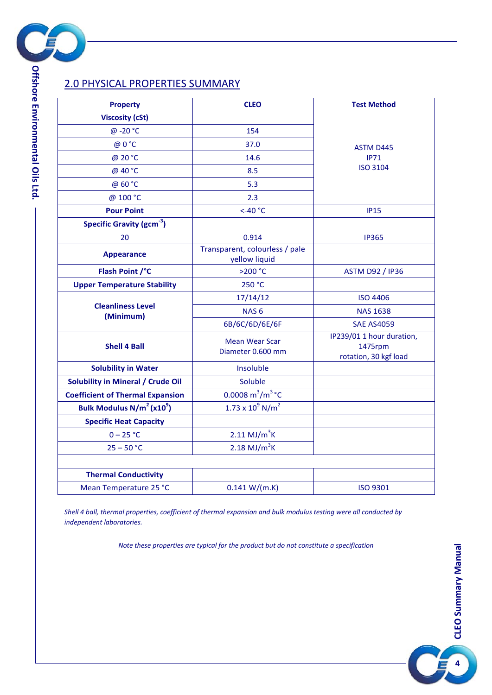

# <span id="page-3-0"></span>2.0 PHYSICAL PROPERTIES SUMMARY

| <b>Property</b>                                   | <b>CLEO</b>                                     | <b>Test Method</b>                                            |  |  |
|---------------------------------------------------|-------------------------------------------------|---------------------------------------------------------------|--|--|
| <b>Viscosity (cSt)</b>                            |                                                 |                                                               |  |  |
| @-20 °C                                           | 154                                             |                                                               |  |  |
| @ 0 °C                                            | 37.0                                            |                                                               |  |  |
| @ 20 °C                                           | 14.6                                            | <b>ASTM D445</b><br><b>IP71</b>                               |  |  |
| @ 40 °C                                           | 8.5                                             | <b>ISO 3104</b>                                               |  |  |
| @ 60 °C                                           | 5.3                                             |                                                               |  |  |
| @ 100 °C                                          | 2.3                                             |                                                               |  |  |
| <b>Pour Point</b>                                 | $<$ -40 $^{\circ}$ C                            | <b>IP15</b>                                                   |  |  |
| Specific Gravity (gcm <sup>-3</sup> )             |                                                 |                                                               |  |  |
| 20                                                | 0.914                                           | <b>IP365</b>                                                  |  |  |
| <b>Appearance</b>                                 | Transparent, colourless / pale<br>yellow liquid |                                                               |  |  |
| Flash Point /°C                                   | >200 °C                                         | <b>ASTM D92 / IP36</b>                                        |  |  |
| <b>Upper Temperature Stability</b>                | 250 °C                                          |                                                               |  |  |
|                                                   | 17/14/12                                        | <b>ISO 4406</b>                                               |  |  |
| <b>Cleanliness Level</b>                          | NAS <sub>6</sub>                                | <b>NAS 1638</b>                                               |  |  |
| (Minimum)                                         | 6B/6C/6D/6E/6F                                  | <b>SAE AS4059</b>                                             |  |  |
| <b>Shell 4 Ball</b>                               | <b>Mean Wear Scar</b><br>Diameter 0.600 mm      | IP239/01 1 hour duration,<br>1475rpm<br>rotation, 30 kgf load |  |  |
| <b>Solubility in Water</b>                        | Insoluble                                       |                                                               |  |  |
| <b>Solubility in Mineral / Crude Oil</b>          | Soluble                                         |                                                               |  |  |
| <b>Coefficient of Thermal Expansion</b>           | 0.0008 $m^3/m^3$ °C                             |                                                               |  |  |
| Bulk Modulus N/m <sup>2</sup> (x10 <sup>9</sup> ) | $1.73 \times 10^{9}$ N/m <sup>2</sup>           |                                                               |  |  |
| <b>Specific Heat Capacity</b>                     |                                                 |                                                               |  |  |
| $0 - 25 °C$                                       | $2.11 \text{ MJ/m}^3$ K                         |                                                               |  |  |
| $25 - 50 °C$                                      | $2.18 \text{ MJ/m}^3$ K                         |                                                               |  |  |
|                                                   |                                                 |                                                               |  |  |
| <b>Thermal Conductivity</b>                       |                                                 |                                                               |  |  |
| Mean Temperature 25 °C                            | 0.141 W/(m.K)                                   | <b>ISO 9301</b>                                               |  |  |

*Shell 4 ball, thermal properties, coefficient of thermal expansion and bulk modulus testing were all conducted by independent laboratories.*

*Note these properties are typical for the product but do not constitute a specification*

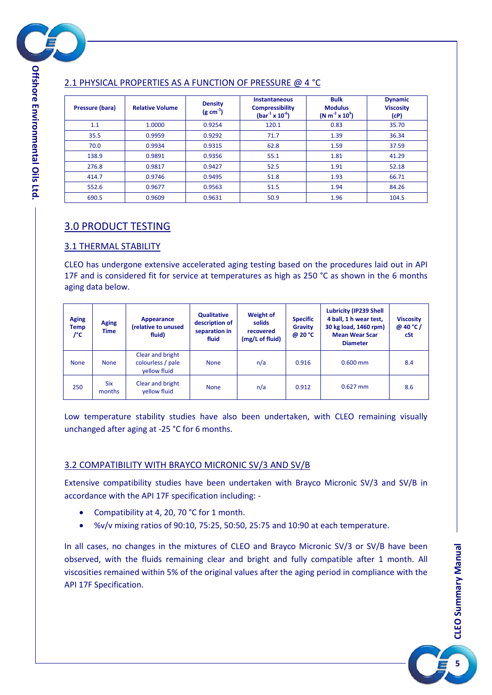

#### <span id="page-4-0"></span>**(g cm-3 ) (bar-1 x 10-6 ) (N m-2 x 10<sup>9</sup> ) Dynamic Viscosity (cP)** 1.1 | 1.0000 | 0.9254 | 120.1 | 0.83 | 35.70 35.5 0.9959 0.9292 71.7 1.39 36.34 70.0 0.9934 0.9315 62.8 1.59 37.59 138.9 | 0.9891 | 0.9356 | 55.1 | 1.81 | 41.29 276.8 | 0.9817 | 0.9427 | 52.5 | 1.91 | 52.18 414.7 | 0.9746 | 0.9495 | 51.8 | 1.93 | 66.71 552.6 0.9677 0.9563 51.5 1.94 84.26 690.5 | 0.9609 | 0.9631 | 50.9 | 1.96 | 104.5

# <span id="page-4-1"></span>3.0 PRODUCT TESTING

# <span id="page-4-2"></span>3.1 THERMAL STABILITY

CLEO has undergone extensive accelerated aging testing based on the procedures laid out in API 17F and is considered fit for service at temperatures as high as 250 °C as shown in the 6 months aging data below.

| <b>Aging</b><br><b>Temp</b><br>/°C | <b>Aging</b><br>Time | Appearance<br>(relative to unused<br>fluid)           | <b>Qualitative</b><br>description of<br>separation in<br>fluid | <b>Weight of</b><br>solids<br>recovered<br>(mg/L of fluid) | <b>Specific</b><br><b>Gravity</b><br>@ 20 °C | <b>Lubricity (IP239 Shell</b><br>4 ball, 1 h wear test,<br>30 kg load, 1460 rpm)<br><b>Mean Wear Scar</b><br><b>Diameter</b> | <b>Viscosity</b><br>@ 40 °C /<br>cSt |
|------------------------------------|----------------------|-------------------------------------------------------|----------------------------------------------------------------|------------------------------------------------------------|----------------------------------------------|------------------------------------------------------------------------------------------------------------------------------|--------------------------------------|
| <b>None</b>                        | <b>None</b>          | Clear and bright<br>colourless / pale<br>vellow fluid | <b>None</b>                                                    | n/a                                                        | 0.916                                        | $0.600$ mm                                                                                                                   | 8.4                                  |
| 250                                | <b>Six</b><br>months | Clear and bright<br>vellow fluid                      | <b>None</b>                                                    | n/a                                                        | 0.912                                        | $0.627$ mm                                                                                                                   | 8.6                                  |

Low temperature stability studies have also been undertaken, with CLEO remaining visually unchanged after aging at -25 °C for 6 months.

# <span id="page-4-3"></span>3.2 COMPATIBILITY WITH BRAYCO MICRONIC SV/3 AND SV/B

Extensive compatibility studies have been undertaken with Brayco Micronic SV/3 and SV/B in accordance with the API 17F specification including: -

- Compatibility at 4, 20, 70 °C for 1 month.
- %v/v mixing ratios of 90:10, 75:25, 50:50, 25:75 and 10:90 at each temperature.

In all cases, no changes in the mixtures of CLEO and Brayco Micronic SV/3 or SV/B have been observed, with the fluids remaining clear and bright and fully compatible after 1 month. All viscosities remained within 5% of the original values after the aging period in compliance with the API 17F Specification.

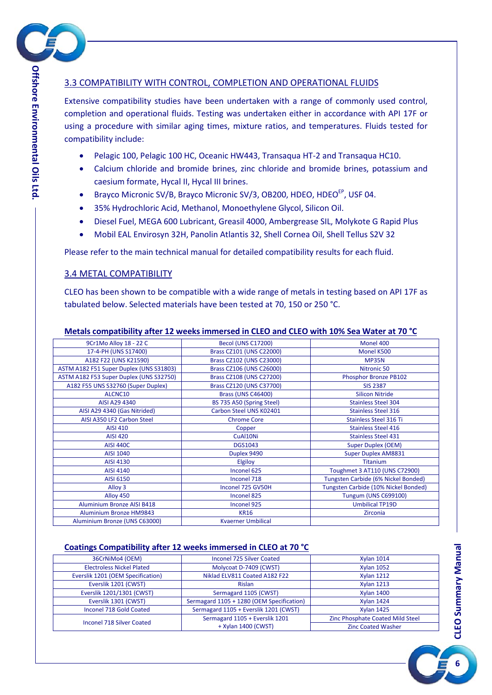

### <span id="page-5-0"></span>3.3 COMPATIBILITY WITH CONTROL, COMPLETION AND OPERATIONAL FLUIDS

Extensive compatibility studies have been undertaken with a range of commonly used control, completion and operational fluids. Testing was undertaken either in accordance with API 17F or using a procedure with similar aging times, mixture ratios, and temperatures. Fluids tested for compatibility include:

- Pelagic 100, Pelagic 100 HC, Oceanic HW443, Transaqua HT-2 and Transaqua HC10.
- Calcium chloride and bromide brines, zinc chloride and bromide brines, potassium and caesium formate, Hycal II, Hycal III brines.
- Brayco Micronic SV/B, Brayco Micronic SV/3, OB200, HDEO, HDEO<sup>EP</sup>, USF 04.
- 35% Hydrochloric Acid, Methanol, Monoethylene Glycol, Silicon Oil.
- Diesel Fuel, MEGA 600 Lubricant, Greasil 4000, Ambergrease SIL, Molykote G Rapid Plus
- Mobil EAL Envirosyn 32H, Panolin Atlantis 32, Shell Cornea Oil, Shell Tellus S2V 32

Please refer to the main technical manual for detailed compatibility results for each fluid.

#### <span id="page-5-1"></span>3.4 METAL COMPATIBILITY

CLEO has been shown to be compatible with a wide range of metals in testing based on API 17F as tabulated below. Selected materials have been tested at 70, 150 or 250 °C.

| 9Cr1Mo Alloy 18 - 22 C                  | <b>Becol (UNS C17200)</b> | Monel 400                            |
|-----------------------------------------|---------------------------|--------------------------------------|
| 17-4-PH (UNS S17400)                    | Brass CZ101 (UNS C22000)  | Monel K500                           |
| A182 F22 (UNS K21590)                   | Brass CZ102 (UNS C23000)  | <b>MP35N</b>                         |
| ASTM A182 F51 Super Duplex (UNS S31803) | Brass CZ106 (UNS C26000)  | Nitronic 50                          |
| ASTM A182 F53 Super Duplex (UNS S32750) | Brass CZ108 (UNS C27200)  | Phosphor Bronze PB102                |
| A182 F55 UNS S32760 (Super Duplex)      | Brass CZ120 (UNS C37700)  | <b>SIS 2387</b>                      |
| ALCNC10                                 | <b>Brass (UNS C46400)</b> | <b>Silicon Nitride</b>               |
| AISI A29 4340                           | BS 735 A50 (Spring Steel) | <b>Stainless Steel 304</b>           |
| AISI A29 4340 (Gas Nitrided)            | Carbon Steel UNS K02401   | <b>Stainless Steel 316</b>           |
| AISI A350 LF2 Carbon Steel              | <b>Chrome Core</b>        | Stainless Steel 316 Ti               |
| <b>AISI 410</b>                         | Copper                    | <b>Stainless Steel 416</b>           |
| <b>AISI 420</b>                         | CuAl10Ni                  | <b>Stainless Steel 431</b>           |
| <b>AISI 440C</b>                        | <b>DGS1043</b>            | <b>Super Duplex (OEM)</b>            |
| AISI 1040                               | Duplex 9490               | <b>Super Duplex AM8831</b>           |
| AISI 4130                               | Elgiloy                   | <b>Titanium</b>                      |
| AISI 4140                               | Inconel 625               | Toughmet 3 AT110 (UNS C72900)        |
| AISI 6150                               | Inconel 718               | Tungsten Carbide (6% Nickel Bonded)  |
| Alloy 3                                 | Inconel 725 GV50H         | Tungsten Carbide (10% Nickel Bonded) |
| Alloy 450                               | Inconel 825               | <b>Tungum (UNS C699100)</b>          |
| <b>Aluminium Bronze AISI B418</b>       | Inconel 925               | <b>Umbilical TP19D</b>               |
| <b>Aluminium Bronze HM9843</b>          | <b>KR16</b>               | Zirconia                             |
| Aluminium Bronze (UNS C63000)           | <b>Kvaerner Umbilical</b> |                                      |

#### **Metals compatibility after 12 weeks immersed in CLEO and CLEO with 10% Sea Water at 70 °C**

#### **Coatings Compatibility after 12 weeks immersed in CLEO at 70 °C**

| 36CrNiMo4 (OEM)                   | Inconel 725 Silver Coated                 | <b>Xylan 1014</b>                |
|-----------------------------------|-------------------------------------------|----------------------------------|
| <b>Electroless Nickel Plated</b>  | Molycoat D-7409 (CWST)                    | <b>Xylan 1052</b>                |
| Everslik 1201 (OEM Specification) | Niklad ELV811 Coated A182 F22             | <b>Xylan 1212</b>                |
| Everslik 1201 (CWST)              | <b>Rislan</b>                             | <b>Xylan 1213</b>                |
| Everslik 1201/1301 (CWST)         | Sermagard 1105 (CWST)                     | <b>Xylan 1400</b>                |
| Everslik 1301 (CWST)              | Sermagard 1105 + 1280 (OEM Specification) | <b>Xvlan 1424</b>                |
| Inconel 718 Gold Coated           | Sermagard 1105 + Everslik 1201 (CWST)     | <b>Xylan 1425</b>                |
| <b>Inconel 718 Silver Coated</b>  | Sermagard 1105 + Everslik 1201            | Zinc Phosphate Coated Mild Steel |
|                                   | + Xylan 1400 (CWST)                       | <b>Zinc Coated Washer</b>        |

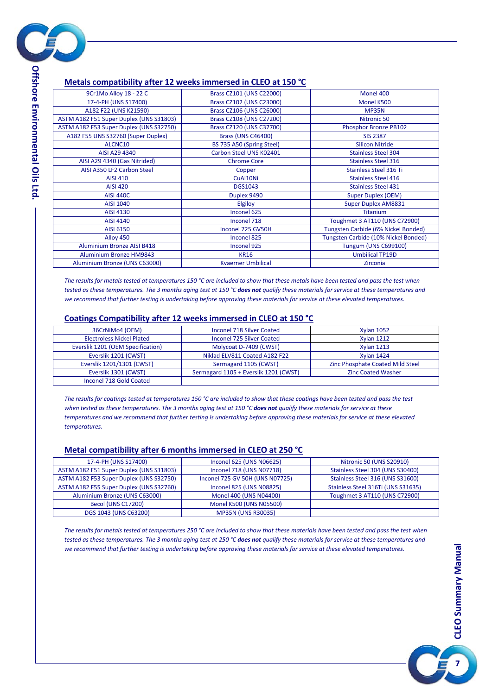

### **Metals compatibility after 12 weeks immersed in CLEO at 150 °C**

| Brass CZ101 (UNS C22000)  | Monel 400                            |
|---------------------------|--------------------------------------|
| Brass CZ102 (UNS C23000)  | Monel K500                           |
| Brass CZ106 (UNS C26000)  | <b>MP35N</b>                         |
| Brass CZ108 (UNS C27200)  | Nitronic 50                          |
| Brass CZ120 (UNS C37700)  | Phosphor Bronze PB102                |
| <b>Brass (UNS C46400)</b> | <b>SIS 2387</b>                      |
| BS 735 A50 (Spring Steel) | <b>Silicon Nitride</b>               |
| Carbon Steel UNS K02401   | <b>Stainless Steel 304</b>           |
| <b>Chrome Core</b>        | <b>Stainless Steel 316</b>           |
| Copper                    | <b>Stainless Steel 316 Ti</b>        |
| CuAl10Ni                  | <b>Stainless Steel 416</b>           |
| <b>DGS1043</b>            | <b>Stainless Steel 431</b>           |
| Duplex 9490               | <b>Super Duplex (OEM)</b>            |
| Elgiloy                   | <b>Super Duplex AM8831</b>           |
| Inconel 625               | <b>Titanium</b>                      |
| Inconel 718               | Toughmet 3 AT110 (UNS C72900)        |
| Inconel 725 GV50H         | Tungsten Carbide (6% Nickel Bonded)  |
| Inconel 825               | Tungsten Carbide (10% Nickel Bonded) |
| Inconel 925               | <b>Tungum (UNS C699100)</b>          |
| <b>KR16</b>               | <b>Umbilical TP19D</b>               |
| <b>Kvaerner Umbilical</b> | <b>Zirconia</b>                      |
|                           |                                      |

*The results for metals tested at temperatures 150 °C are included to show that these metals have been tested and pass the test when*  tested as these temperatures. The 3 months aging test at 150 °C does not qualify these materials for service at these temperatures and *we recommend that further testing is undertaking before approving these materials for service at these elevated temperatures.*

#### **Coatings Compatibility after 12 weeks immersed in CLEO at 150 °C**

| 36CrNiMo4 (OEM)                   | Inconel 718 Silver Coated             | <b>Xylan 1052</b>                |
|-----------------------------------|---------------------------------------|----------------------------------|
| <b>Electroless Nickel Plated</b>  | <b>Inconel 725 Silver Coated</b>      | <b>Xylan 1212</b>                |
| Everslik 1201 (OEM Specification) | Molycoat D-7409 (CWST)                | <b>Xylan 1213</b>                |
| Everslik 1201 (CWST)              | Niklad ELV811 Coated A182 F22         | <b>Xylan 1424</b>                |
| Everslik 1201/1301 (CWST)         | Sermagard 1105 (CWST)                 | Zinc Phosphate Coated Mild Steel |
| Everslik 1301 (CWST)              | Sermagard 1105 + Everslik 1201 (CWST) | <b>Zinc Coated Washer</b>        |
| Inconel 718 Gold Coated           |                                       |                                  |

*The results for coatings tested at temperatures 150 °C are included to show that these coatings have been tested and pass the test when tested as these temperatures. The 3 months aging test at 150 °C does not qualify these materials for service at these temperatures and we recommend that further testing is undertaking before approving these materials for service at these elevated temperatures.*

#### **Metal compatibility after 6 months immersed in CLEO at 250 °C**

| 17-4-PH (UNS S17400)                    | Inconel 625 (UNS N06625)        | <b>Nitronic 50 (UNS S20910)</b>    |
|-----------------------------------------|---------------------------------|------------------------------------|
| ASTM A182 F51 Super Duplex (UNS S31803) | Inconel 718 (UNS N07718)        | Stainless Steel 304 (UNS S30400)   |
| ASTM A182 F53 Super Duplex (UNS S32750) | Inconel 725 GV 50H (UNS N07725) | Stainless Steel 316 (UNS S31600)   |
| ASTM A182 F55 Super Duplex (UNS S32760) | Inconel 825 (UNS N08825)        | Stainless Steel 316Ti (UNS S31635) |
| Aluminium Bronze (UNS C63000)           | Monel 400 (UNS N04400)          | Toughmet 3 AT110 (UNS C72900)      |
| <b>Becol (UNS C17200)</b>               | Monel K500 (UNS N05500)         |                                    |
| DGS 1043 (UNS C63200)                   | <b>MP35N (UNS R30035)</b>       |                                    |

*The results for metals tested at temperatures 250 °C are included to show that these materials have been tested and pass the test when*  tested as these temperatures. The 3 months aging test at 250 °C does not qualify these materials for service at these temperatures and *we recommend that further testing is undertaking before approving these materials for service at these elevated temperatures.*



**Offshore Environmental Oils Offshore Environmental Oils Ltd**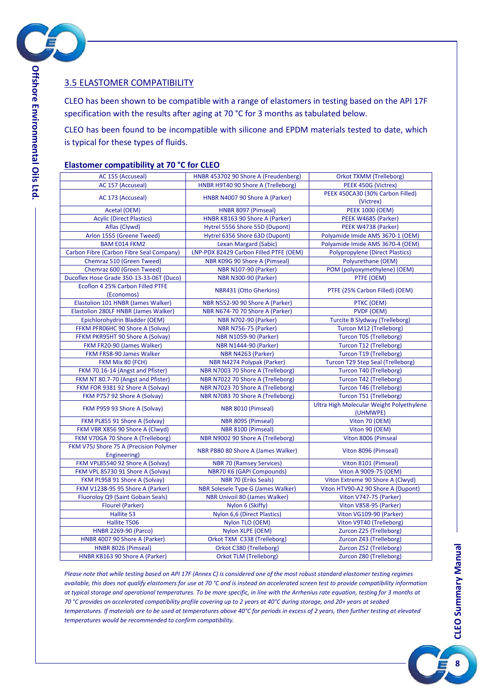

### <span id="page-7-0"></span>3.5 ELASTOMER COMPATIBILITY

CLEO has been shown to be compatible with a range of elastomers in testing based on the API 17F specification with the results after aging at 70 °C for 3 months as tabulated below.

CLEO has been found to be incompatible with silicone and EPDM materials tested to date, which is typical for these types of fluids.

#### **Elastomer compatibility at 70 °C for CLEO**

| AC 155 (Accuseal)                                      | HNBR 453702 90 Shore A (Freudenberg)   | Orkot TXMM (Trelleborg)                              |
|--------------------------------------------------------|----------------------------------------|------------------------------------------------------|
| AC 157 (Accuseal)                                      | HNBR H9T40 90 Shore A (Trelleborg)     | PEEK 450G (Victrex)                                  |
|                                                        |                                        | PEEK 450CA30 (30% Carbon Filled)                     |
| AC 173 (Accuseal)                                      | HNBR N4007 90 Shore A (Parker)         | (Victrex)                                            |
| Acetal (OEM)                                           | HNBR 8097 (Pimseal)                    | <b>PEEK 1000 (OEM)</b>                               |
| <b>Acylic (Direct Plastics)</b>                        | HNBR KB163 90 Shore A (Parker)         | PEEK W4685 (Parker)                                  |
| Aflas (Clywd)                                          | Hytrel 5556 Shore 55D (Dupont)         | PEEK W4738 (Parker)                                  |
| Arlon 1555 (Greene Tweed)                              | Hytrel 6356 Shore 63D (Dupont)         | Polyamide Imide AMS 3670-1 (OEM)                     |
| <b>BAM E014 FKM2</b>                                   | Lexan Margard (Sabic)                  | Polyamide Imide AMS 3670-4 (OEM)                     |
| Carbon Fibre (Carbon Fibre Seal Company)               | LNP-PDX 82429 Carbon Filled PTFE (OEM) | <b>Polypropylene (Direct Plastics)</b>               |
| Chemraz 510 (Green Tweed)                              | NBR K09G 90 Shore A (Pimseal)          | Polyurethane (OEM)                                   |
| Chemraz 600 (Green Tweed)                              | <b>NBR N107-90 (Parker)</b>            | POM (polyoxymethylene) (OEM)                         |
| Ducoflex Hose Grade 350-13-33-06T (Duco)               | <b>NBR N300-90 (Parker)</b>            | PTFE (OEM)                                           |
| Ecoflon 4 25% Carbon Filled PTFE                       |                                        |                                                      |
| (Economos)                                             | NBR431 (Otto Gherkins)                 | PTFE (25% Carbon Filled) (OEM)                       |
| Elastolion 101 HNBR (James Walker)                     | NBR N552-90 90 Shore A (Parker)        | PTKC (OEM)                                           |
| Elastolion 280LF HNBR (James Walker)                   | NBR N674-70 70 Shore A (Parker)        | <b>PVDF (OEM)</b>                                    |
| Epichlorohydrin Bladder (OEM)                          | <b>NBR N702-90 (Parker)</b>            | <b>Turcite B Slydway (Trelleborg)</b>                |
| FFKM PFR06HC 90 Shore A (Solvay)                       | <b>NBR N756-75 (Parker)</b>            | Turcon M12 (Trelleborg)                              |
| FFKM PKR95HT 90 Shore A (Solvay)                       | <b>NBR N1059-90 (Parker)</b>           | Turcon T05 (Trelleborg)                              |
| FKM FR20-90 (James Walker)                             | <b>NBR N1444-90 (Parker)</b>           | Turcon T12 (Trelleborg)                              |
| FKM FR58-90 James Walker                               | NBR N4263 (Parker)                     | Turcon T19 (Trelleborg)                              |
| FKM Mix 80 (FCH)                                       | NBR N4274 Polypak (Parker)             | <b>Turcon T29 Step Seal (Trelleborg)</b>             |
| FKM 70.16-14 (Angst and Pfister)                       | NBR N7003 70 Shore A (Trelleborg)      | Turcon T40 (Trelleborg)                              |
| FKM NT 80.7-70 (Angst and Pfister)                     | NBR N7022 70 Shore A (Trelleborg)      | Turcon T42 (Trelleborg)                              |
| FKM FOR 9381 92 Shore A (Solvay)                       | NBR N7023 70 Shore A (Trelleborg)      | Turcon T46 (Trelleborg)                              |
| FKM P757 92 Shore A (Solvay)                           | NBR N7083 70 Shore A (Trelleborg)      | Turcon T51 (Trelleborg)                              |
| FKM P959 93 Shore A (Solvay)                           | NBR 8010 (Pimseal)                     | Ultra High Molecular Weight Polyethylene<br>(UHMWPE) |
| FKM PL855 91 Shore A (Solvay)                          | NBR 8095 (Pimseal)                     | Viton 70 (OEM)                                       |
| FKM VBR X856 90 Shore A (Clwyd)                        | NBR 8100 (Pimseal)                     | Viton 90 (OEM)                                       |
| FKM V70GA 70 Shore A (Trelleborg)                      | NBR N9002 90 Shore A (Trelleborg)      | Viton 8006 (Pimseal                                  |
| FKM V75J Shore 75 A (Precision Polymer<br>Engineering) | NBR PB80 80 Shore A (James Walker)     | Viton 8096 (Pimseal)                                 |
| FKM VPL85540 92 Shore A (Solvay)                       | <b>NBR 70 (Ramsey Services)</b>        | Viton 8101 (Pimseal)                                 |
| FKM VPL 85730 91 Shore A (Solvay)                      | NBR70 K6 (GAPI Compounds)              | Viton A 9009-75 (OEM)                                |
| FKM PL958 91 Shore A (Solvay)                          | <b>NBR 70 (Eriks Seals)</b>            | Viton Extreme 90 Shore A (Clwyd)                     |
| FKM V1238-95 95 Shore A (Parker)                       | NBR Solesele Type G (James Walker)     | Viton HTV90-A2 90 Shore A (Dupont)                   |
| Fluoroloy Q9 (Saint Gobain Seals)                      | NBR Univoil 80 (James Walker)          | Viton V747-75 (Parker)                               |
| <b>Flourel (Parker)</b>                                | Nylon 6 (Skiffy)                       | Viton V858-95 (Parker)                               |
| Hallite 53                                             | Nylon 6,6 (Direct Plastics)            | Viton VG109-90 (Parker)                              |
| Hallite T506                                           | Nylon TLO (OEM)                        | Viton V9T40 (Trelleborg)                             |
| <b>HNBR 2269-90 (Parco)</b>                            | Nylon XLPE (OEM)                       | Zurcon Z25 (Trelleborg)                              |
| HNBR 4007 90 Shore A (Parker)                          | Orkot TXM C338 (Trelleborg)            | Zurcon Z43 (Trelleborg)                              |
| HNBR 8026 (Pimseal)                                    | Orkot C380 (Trelleborg)                | Zurcon Z52 (Trelleborg)                              |
| HNBR KB163 90 Shore A (Parker)                         | <b>Orkot TLM (Trelleborg)</b>          | Zurcon Z80 (Trelleborg)                              |
|                                                        |                                        |                                                      |

*Please note that while testing based on API 17F (Annex C) is considered one of the most robust standard elastomer testing regimes available, this does not qualify elastomers for use at 70 °C and is instead an accelerated screen test to provide compatibility information at typical storage and operational temperatures. To be more specific, in line with the Arrhenius rate equation, testing for 3 months at 70 °C provides an accelerated compatibility profile covering up to 2 years at 40°C during storage, and 20+ years at seabed temperatures. If materials are to be used at temperatures above 40°C for periods in excess of 2 years, then further testing at elevated temperatures would be recommended to confirm compatibility.*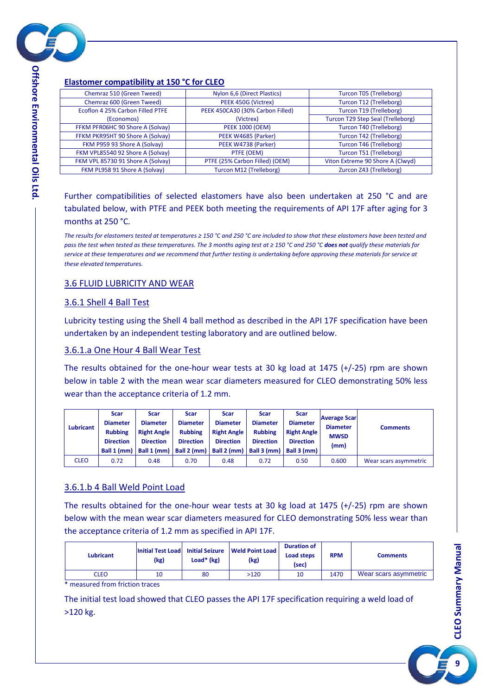

## **Elastomer compatibility at 150 °C for CLEO**

| Chemraz 510 (Green Tweed)         | Nylon 6,6 (Direct Plastics)      | Turcon T05 (Trelleborg)                  |
|-----------------------------------|----------------------------------|------------------------------------------|
| Chemraz 600 (Green Tweed)         | PEEK 450G (Victrex)              | Turcon T12 (Trelleborg)                  |
| Ecoflon 4 25% Carbon Filled PTFE  | PEEK 450CA30 (30% Carbon Filled) | Turcon T19 (Trelleborg)                  |
| (Economos)                        | (Victrex)                        | <b>Turcon T29 Step Seal (Trelleborg)</b> |
| FFKM PFR06HC 90 Shore A (Solvay)  | <b>PEEK 1000 (OEM)</b>           | Turcon T40 (Trelleborg)                  |
| FFKM PKR95HT 90 Shore A (Solvay)  | PEEK W4685 (Parker)              | Turcon T42 (Trelleborg)                  |
| FKM P959 93 Shore A (Solvay)      | PEEK W4738 (Parker)              | Turcon T46 (Trelleborg)                  |
| FKM VPL85540 92 Shore A (Solvay)  | PTFE (OEM)                       | Turcon T51 (Trelleborg)                  |
| FKM VPL 85730 91 Shore A (Solvay) | PTFE (25% Carbon Filled) (OEM)   | Viton Extreme 90 Shore A (Clwyd)         |
| FKM PL958 91 Shore A (Solvay)     | Turcon M12 (Trelleborg)          | Zurcon Z43 (Trelleborg)                  |
|                                   |                                  |                                          |

Further compatibilities of selected elastomers have also been undertaken at 250 °C and are tabulated below, with PTFE and PEEK both meeting the requirements of API 17F after aging for 3 months at 250 °C.

*The results for elastomers tested at temperatures ≥ 150 °C and 250 °C are included to show that these elastomers have been tested and pass the test when tested as these temperatures. The 3 months aging test at ≥ 150 °C and 250 °C does not qualify these materials for service at these temperatures and we recommend that further testing is undertaking before approving these materials for service at these elevated temperatures.*

#### <span id="page-8-0"></span>3.6 FLUID LUBRICITY AND WEAR

#### <span id="page-8-1"></span>3.6.1 Shell 4 Ball Test

Lubricity testing using the Shell 4 ball method as described in the API 17F specification have been undertaken by an independent testing laboratory and are outlined below.

#### <span id="page-8-2"></span>3.6.1.a One Hour 4 Ball Wear Test

The results obtained for the one-hour wear tests at 30 kg load at  $1475$  (+/-25) rpm are shown below in table 2 with the mean wear scar diameters measured for CLEO demonstrating 50% less wear than the acceptance criteria of 1.2 mm.

| <b>Lubricant</b> | <b>Scar</b><br><b>Diameter</b><br><b>Rubbing</b><br><b>Direction</b><br>Ball 1 (mm) | Scar<br><b>Diameter</b><br><b>Right Angle</b><br><b>Direction</b><br>Ball 1 (mm) | Scar<br><b>Diameter</b><br><b>Rubbing</b><br><b>Direction</b><br>Ball 2 (mm) | <b>Scar</b><br><b>Diameter</b><br><b>Right Angle</b><br><b>Direction</b><br>Ball 2 (mm) | <b>Scar</b><br><b>Diameter</b><br><b>Rubbing</b><br><b>Direction</b><br>Ball 3 (mm) | <b>Scar</b><br><b>Diameter</b><br><b>Right Angle</b><br><b>Direction</b><br>Ball 3 (mm) | <b>Average Scar</b><br><b>Diameter</b><br><b>MWSD</b><br>(mm) | <b>Comments</b>       |
|------------------|-------------------------------------------------------------------------------------|----------------------------------------------------------------------------------|------------------------------------------------------------------------------|-----------------------------------------------------------------------------------------|-------------------------------------------------------------------------------------|-----------------------------------------------------------------------------------------|---------------------------------------------------------------|-----------------------|
| <b>CLEO</b>      | 0.72                                                                                | 0.48                                                                             | 0.70                                                                         | 0.48                                                                                    | 0.72                                                                                | 0.50                                                                                    | 0.600                                                         | Wear scars asymmetric |

#### <span id="page-8-3"></span>3.6.1.b 4 Ball Weld Point Load

The results obtained for the one-hour wear tests at 30 kg load at  $1475$  (+/-25) rpm are shown below with the mean wear scar diameters measured for CLEO demonstrating 50% less wear than the acceptance criteria of 1.2 mm as specified in API 17F.

| Lubricant   | <b>Initial Test Load</b><br>(kg) | <b>Initial Seizure</b><br>Load* (kg) | <b>Weld Point Load</b><br>(kg) | <b>Duration of</b><br>Load steps<br>(sec) | <b>RPM</b> | Comments              |
|-------------|----------------------------------|--------------------------------------|--------------------------------|-------------------------------------------|------------|-----------------------|
| <b>CLEO</b> | 10                               | 80                                   | >120                           | 10                                        | 1470       | Wear scars asymmetric |
| ____        |                                  |                                      |                                |                                           |            |                       |

\* measured from friction traces

The initial test load showed that CLEO passes the API 17F specification requiring a weld load of >120 kg.

**9**